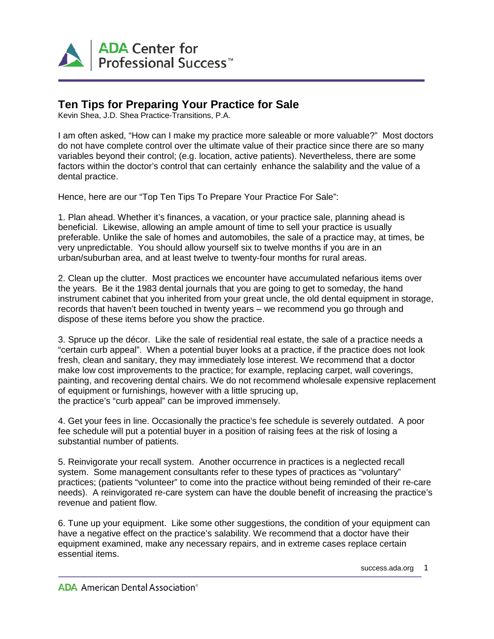

## **Ten Tips for Preparing Your Practice for Sale**

Kevin Shea, J.D. Shea Practice-Transitions, P.A.

I am often asked, "How can I make my practice more saleable or more valuable?" Most doctors do not have complete control over the ultimate value of their practice since there are so many variables beyond their control; (e.g. location, active patients). Nevertheless, there are some factors within the doctor's control that can certainly enhance the salability and the value of a dental practice.

Hence, here are our "Top Ten Tips To Prepare Your Practice For Sale":

1. Plan ahead. Whether it's finances, a vacation, or your practice sale, planning ahead is beneficial. Likewise, allowing an ample amount of time to sell your practice is usually preferable. Unlike the sale of homes and automobiles, the sale of a practice may, at times, be very unpredictable. You should allow yourself six to twelve months if you are in an urban/suburban area, and at least twelve to twenty-four months for rural areas.

2. Clean up the clutter. Most practices we encounter have accumulated nefarious items over the years. Be it the 1983 dental journals that you are going to get to someday, the hand instrument cabinet that you inherited from your great uncle, the old dental equipment in storage, records that haven't been touched in twenty years – we recommend you go through and dispose of these items before you show the practice.

3. Spruce up the décor. Like the sale of residential real estate, the sale of a practice needs a "certain curb appeal". When a potential buyer looks at a practice, if the practice does not look fresh, clean and sanitary, they may immediately lose interest. We recommend that a doctor make low cost improvements to the practice; for example, replacing carpet, wall coverings, painting, and recovering dental chairs. We do not recommend wholesale expensive replacement of equipment or furnishings, however with a little sprucing up, the practice's "curb appeal" can be improved immensely.

4. Get your fees in line. Occasionally the practice's fee schedule is severely outdated. A poor fee schedule will put a potential buyer in a position of raising fees at the risk of losing a substantial number of patients.

5. Reinvigorate your recall system. Another occurrence in practices is a neglected recall system. Some management consultants refer to these types of practices as "voluntary" practices; (patients "volunteer" to come into the practice without being reminded of their re-care needs). A reinvigorated re-care system can have the double benefit of increasing the practice's revenue and patient flow.

6. Tune up your equipment. Like some other suggestions, the condition of your equipment can have a negative effect on the practice's salability. We recommend that a doctor have their equipment examined, make any necessary repairs, and in extreme cases replace certain essential items.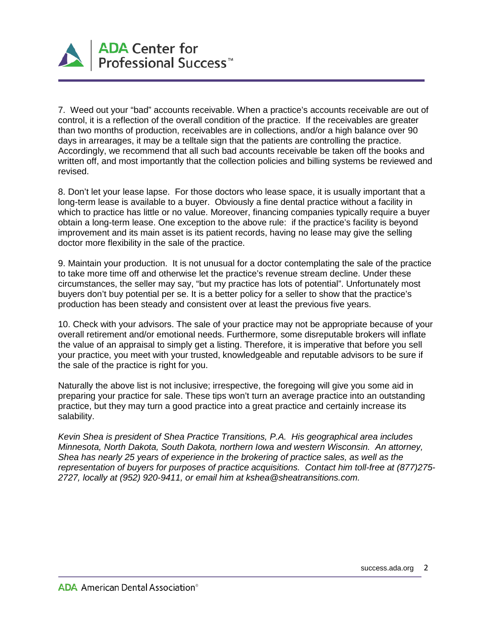

7. Weed out your "bad" accounts receivable. When a practice's accounts receivable are out of control, it is a reflection of the overall condition of the practice. If the receivables are greater than two months of production, receivables are in collections, and/or a high balance over 90 days in arrearages, it may be a telltale sign that the patients are controlling the practice. Accordingly, we recommend that all such bad accounts receivable be taken off the books and written off, and most importantly that the collection policies and billing systems be reviewed and revised.

8. Don't let your lease lapse. For those doctors who lease space, it is usually important that a long-term lease is available to a buyer. Obviously a fine dental practice without a facility in which to practice has little or no value. Moreover, financing companies typically require a buyer obtain a long-term lease. One exception to the above rule: if the practice's facility is beyond improvement and its main asset is its patient records, having no lease may give the selling doctor more flexibility in the sale of the practice.

9. Maintain your production. It is not unusual for a doctor contemplating the sale of the practice to take more time off and otherwise let the practice's revenue stream decline. Under these circumstances, the seller may say, "but my practice has lots of potential". Unfortunately most buyers don't buy potential per se. It is a better policy for a seller to show that the practice's production has been steady and consistent over at least the previous five years.

10. Check with your advisors. The sale of your practice may not be appropriate because of your overall retirement and/or emotional needs. Furthermore, some disreputable brokers will inflate the value of an appraisal to simply get a listing. Therefore, it is imperative that before you sell your practice, you meet with your trusted, knowledgeable and reputable advisors to be sure if the sale of the practice is right for you.

Naturally the above list is not inclusive; irrespective, the foregoing will give you some aid in preparing your practice for sale. These tips won't turn an average practice into an outstanding practice, but they may turn a good practice into a great practice and certainly increase its salability.

*Kevin Shea is president of Shea Practice Transitions, P.A. His geographical area includes Minnesota, North Dakota, South Dakota, northern Iowa and western Wisconsin. An attorney, Shea has nearly 25 years of experience in the brokering of practice sales, as well as the representation of buyers for purposes of practice acquisitions. Contact him toll-free at (877)275- 2727, locally at (952) 920-9411, or email him at kshea@sheatransitions.com.*